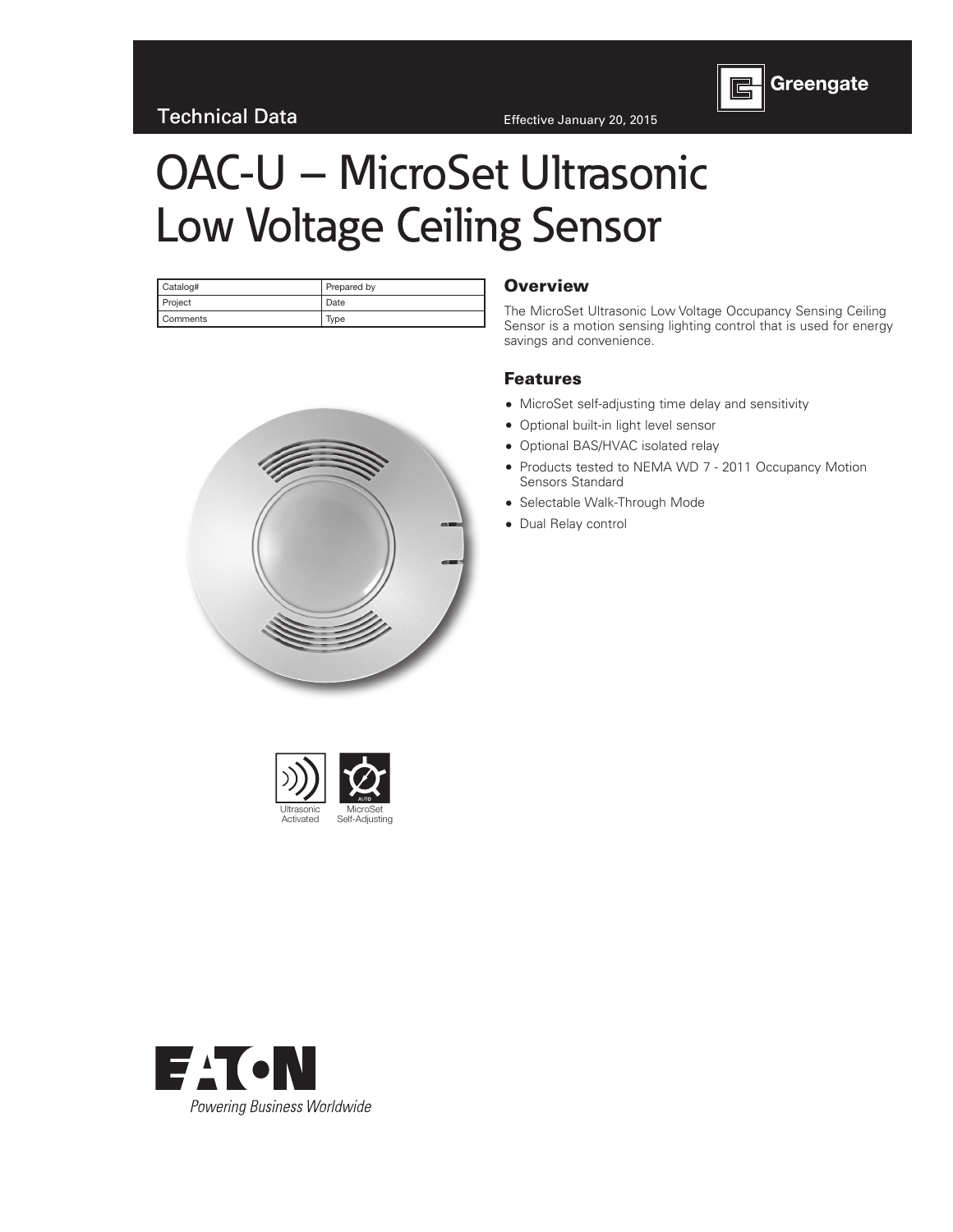

# OAC-U – MicroSet Ultrasonic Low Voltage Ceiling Sensor

| Catalog#        | Prepared by |  |  |  |  |  |  |
|-----------------|-------------|--|--|--|--|--|--|
| Project         | Date        |  |  |  |  |  |  |
| <b>Comments</b> | Type        |  |  |  |  |  |  |

#### **Overview**

The MicroSet Ultrasonic Low Voltage Occupancy Sensing Ceiling Sensor is a motion sensing lighting control that is used for energy savings and convenience.

#### Features

- MicroSet self-adjusting time delay and sensitivity
- Optional built-in light level sensor
- Optional BAS/HVAC isolated relay
- Products tested to NEMA WD 7 2011 Occupancy Motion Sensors Standard
- Selectable Walk-Through Mode
- Dual Relay control





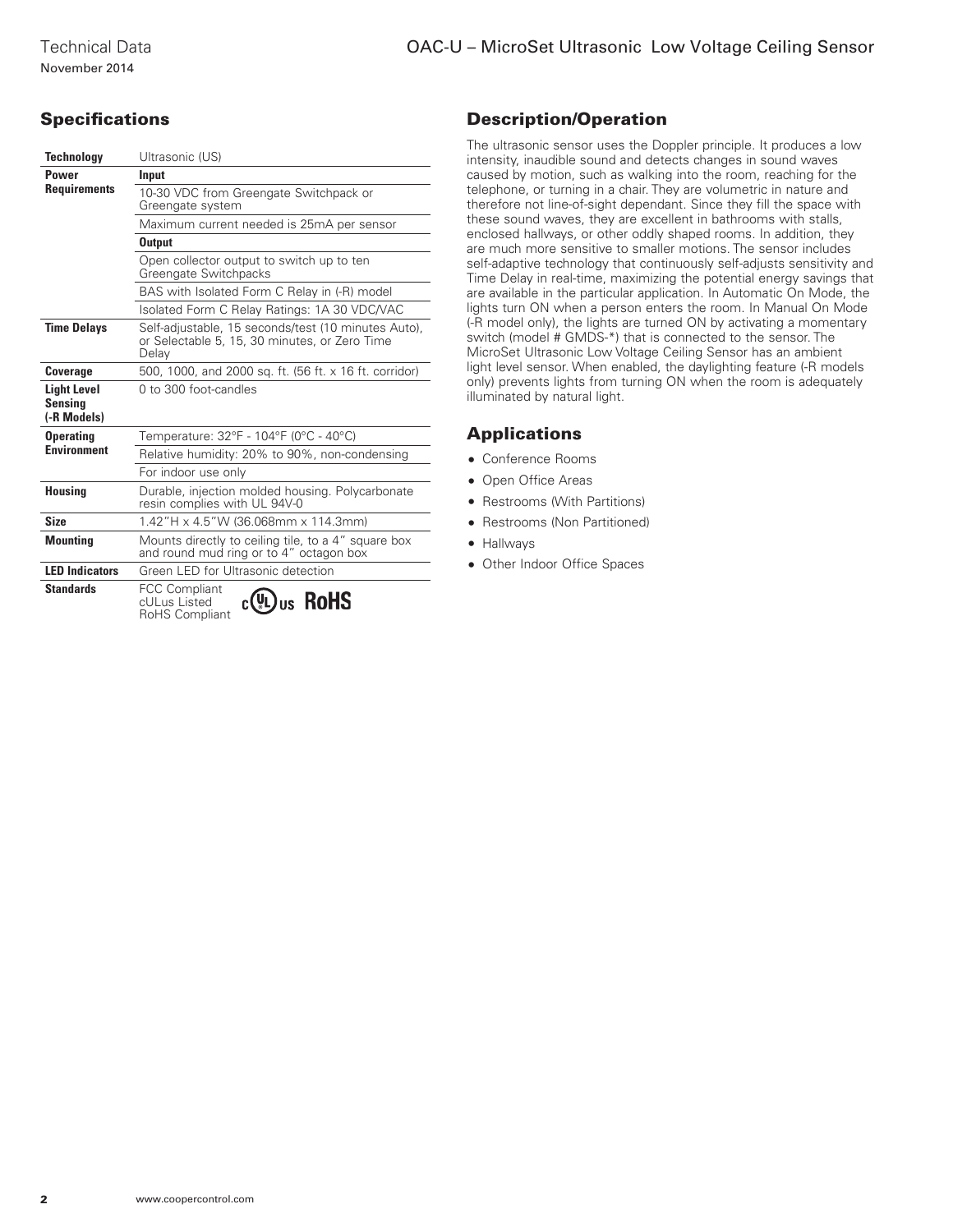#### OAC-U – MicroSet Ultrasonic Low Voltage Ceiling Sensor

# **Specifications**

| <b>Technology</b>                                   | Ultrasonic (US)                                                                                               |  |  |  |  |  |  |
|-----------------------------------------------------|---------------------------------------------------------------------------------------------------------------|--|--|--|--|--|--|
| <b>Power</b>                                        | Input                                                                                                         |  |  |  |  |  |  |
| <b>Requirements</b>                                 | 10-30 VDC from Greengate Switchpack or<br>Greengate system                                                    |  |  |  |  |  |  |
|                                                     | Maximum current needed is 25mA per sensor                                                                     |  |  |  |  |  |  |
|                                                     | <b>Output</b>                                                                                                 |  |  |  |  |  |  |
|                                                     | Open collector output to switch up to ten<br>Greengate Switchpacks                                            |  |  |  |  |  |  |
|                                                     | BAS with Isolated Form C Relay in (-R) model                                                                  |  |  |  |  |  |  |
|                                                     | Isolated Form C Relay Ratings: 1A 30 VDC/VAC                                                                  |  |  |  |  |  |  |
| <b>Time Delays</b>                                  | Self-adjustable, 15 seconds/test (10 minutes Auto),<br>or Selectable 5, 15, 30 minutes, or Zero Time<br>Delay |  |  |  |  |  |  |
| <b>Coverage</b>                                     | 500, 1000, and 2000 sq. ft. (56 ft. x 16 ft. corridor)                                                        |  |  |  |  |  |  |
| <b>Light Level</b><br><b>Sensina</b><br>(-R Models) | 0 to 300 foot-candles                                                                                         |  |  |  |  |  |  |
| <b>Operating</b>                                    | Temperature: 32°F - 104°F (0°C - 40°C)                                                                        |  |  |  |  |  |  |
| <b>Environment</b>                                  | Relative humidity: 20% to 90%, non-condensing                                                                 |  |  |  |  |  |  |
|                                                     | For indoor use only                                                                                           |  |  |  |  |  |  |
| <b>Housing</b>                                      | Durable, injection molded housing. Polycarbonate<br>resin complies with UL 94V-0                              |  |  |  |  |  |  |
| <b>Size</b>                                         | 1.42"H x 4.5"W (36.068mm x 114.3mm)                                                                           |  |  |  |  |  |  |
| <b>Mounting</b>                                     | Mounts directly to ceiling tile, to a 4" square box<br>and round mud ring or to 4" octagon box                |  |  |  |  |  |  |
| <b>LED</b> Indicators                               | Green LED for Ultrasonic detection                                                                            |  |  |  |  |  |  |
| <b>Standards</b>                                    | <b>FCC Compliant</b><br>us RoHS<br>cULus Listed<br>RoHS Compliant                                             |  |  |  |  |  |  |

## Description/Operation

The ultrasonic sensor uses the Doppler principle. It produces a low intensity, inaudible sound and detects changes in sound waves caused by motion, such as walking into the room, reaching for the telephone, or turning in a chair. They are volumetric in nature and therefore not line-of-sight dependant. Since they fill the space with these sound waves, they are excellent in bathrooms with stalls, enclosed hallways, or other oddly shaped rooms. In addition, they are much more sensitive to smaller motions. The sensor includes self-adaptive technology that continuously self-adjusts sensitivity and Time Delay in real-time, maximizing the potential energy savings that are available in the particular application. In Automatic On Mode, the lights turn ON when a person enters the room. In Manual On Mode (-R model only), the lights are turned ON by activating a momentary switch (model # GMDS-\*) that is connected to the sensor. The MicroSet Ultrasonic Low Voltage Ceiling Sensor has an ambient light level sensor. When enabled, the daylighting feature (-R models only) prevents lights from turning ON when the room is adequately illuminated by natural light.

#### **Applications**

- Conference Rooms
- Open Office Areas
- Restrooms (With Partitions)
- Restrooms (Non Partitioned)
- Hallways
- Other Indoor Office Spaces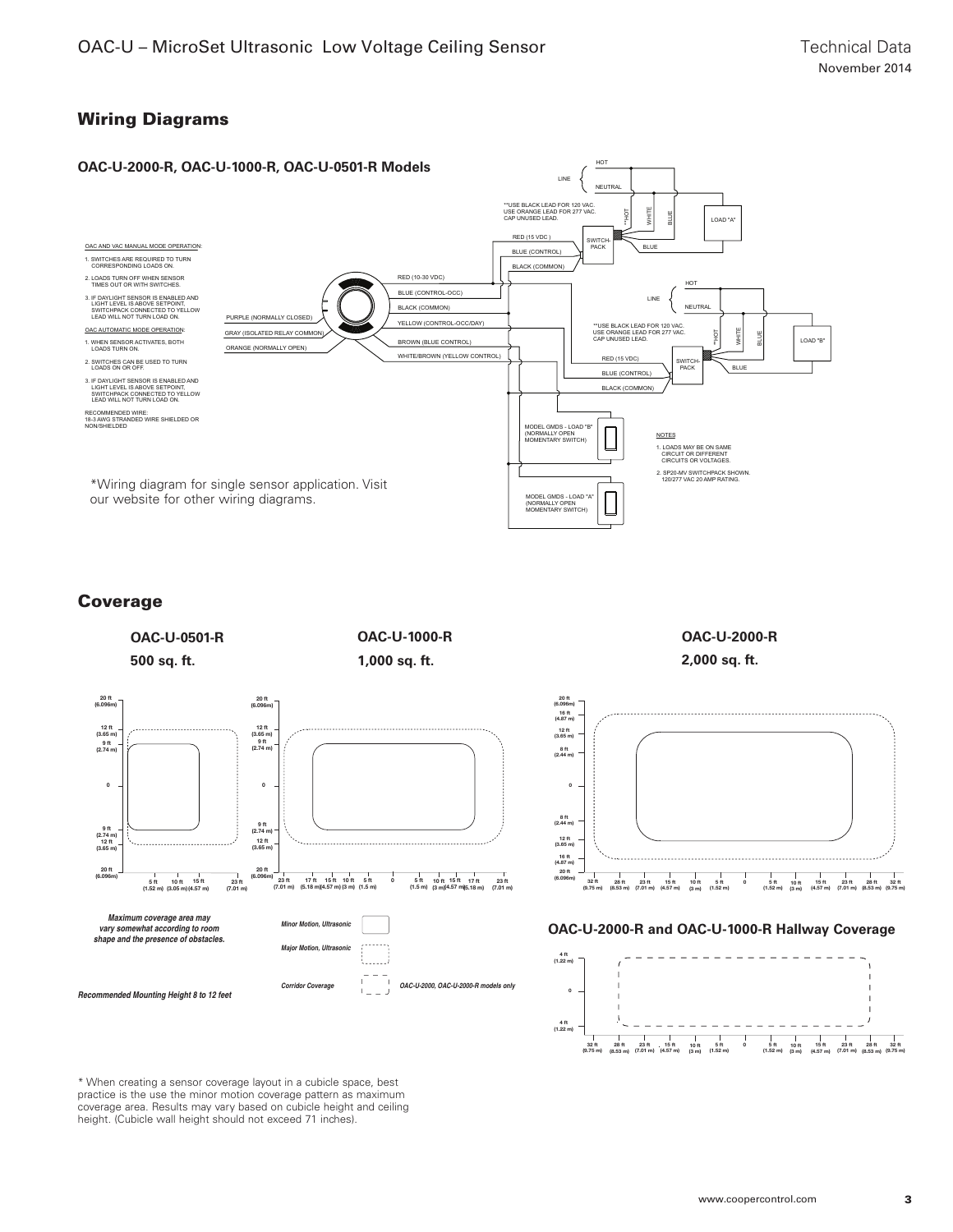### Wiring Diagrams



#### Coverage

**OAC-U-0501-R OAC-U-1000-R 1,000 sq. ft. 500 sq. ft.** 20 ft (6.096m) 20 ft (6.096m) 12 ft (3.65 m) 12 ft (3.65 m) 9 ft (2.74 m) 9 ft (2.74 m)  $\overline{\mathbf{0}}$  $\overline{0}$ 9 ft (2.74 m) 9 ft (2.74 m) 12 ft (3.65 m) 12 ft (3.65 m) 20 ft<br>6.096r)  $20 f$ <br>(6.096) ا ا ft 10 ft 15 ft<br>5 ft 10 ft 15 ft<br>(1.52 m) (3.05 m) (4.57 m) (6.096m) 23 ft 17 ft 15 ft 10 ft 5 ft<br>(7.01 m) (5.18 m)(4.57 m) (3 m) (1.5 m) 0 5 ft 10 ft 15 ft 17 ft<br>(1.5 m) (3 m)(4.57 m)5.18 m) 23 ft (7.01 m) 23 ft (7.01 m) **Maximum coverage area may Minor Motion, Ultrasonic vary somewhat according to room shape and the presence of obstacles. Maior Motion, Ultrase** t....... **Corridor Coverage OAC-U-2000, OAC-U-2000-R models only Recommended Mounting Height 8 to 12 feet**

**OAC-U-2000-R 2,000 sq. ft.**



#### **OAC-U-2000-R and OAC-U-1000-R Hallway Coverage**



\* When creating a sensor coverage layout in a cubicle space, best practice is the use the minor motion coverage pattern as maximum coverage area. Results may vary based on cubicle height and ceiling height. (Cubicle wall height should not exceed 71 inches).